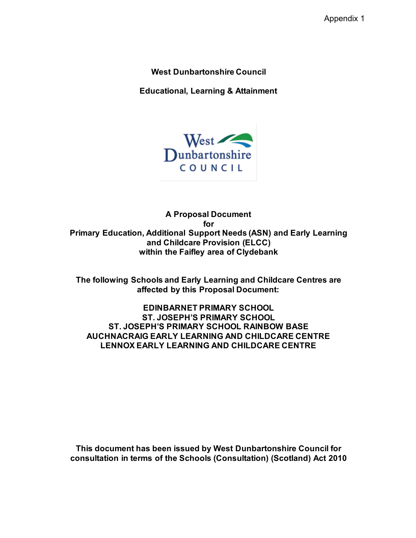**West Dunbartonshire Council**

**Educational, Learning & Attainment**



**A Proposal Document for Primary Education, Additional Support Needs (ASN) and Early Learning and Childcare Provision (ELCC) within the Faifley area of Clydebank**

**The following Schools and Early Learning and Childcare Centres are affected by this Proposal Document:**

**EDINBARNET PRIMARY SCHOOL ST. JOSEPH'S PRIMARY SCHOOL ST. JOSEPH'S PRIMARY SCHOOL RAINBOW BASE AUCHNACRAIG EARLY LEARNING AND CHILDCARE CENTRE LENNOX EARLY LEARNING AND CHILDCARE CENTRE**

**This document has been issued by West Dunbartonshire Council for consultation in terms of the Schools (Consultation) (Scotland) Act 2010**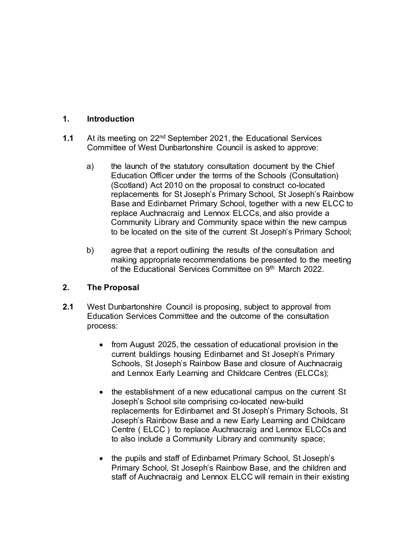## **1. Introduction**

- **1.1** At its meeting on 22nd September 2021, the Educational Services Committee of West Dunbartonshire Council is asked to approve:
	- a) the launch of the statutory consultation document by the Chief Education Officer under the terms of the Schools (Consultation) (Scotland) Act 2010 on the proposal to construct co-located replacements for St Joseph's Primary School, St Joseph's Rainbow Base and Edinbarnet Primary School, together with a new ELCC to replace Auchnacraig and Lennox ELCCs, and also provide a Community Library and Community space within the new campus to be located on the site of the current St Joseph's Primary School;
	- b) agree that a report outlining the results of the consultation and making appropriate recommendations be presented to the meeting of the Educational Services Committee on 9<sup>th</sup> March 2022.

# **2. The Proposal**

- **2.1** West Dunbartonshire Council is proposing, subject to approval from Education Services Committee and the outcome of the consultation process:
	- from August 2025, the cessation of educational provision in the current buildings housing Edinbarnet and St Joseph's Primary Schools, St Joseph's Rainbow Base and closure of Auchnacraig and Lennox Early Learning and Childcare Centres (ELCCs);
	- the establishment of a new educational campus on the current St Joseph's School site comprising co-located new-build replacements for Edinbarnet and St Joseph's Primary Schools, St Joseph's Rainbow Base and a new Early Learning and Childcare Centre ( ELCC ) to replace Auchnacraig and Lennox ELCCs and to also include a Community Library and community space;
	- the pupils and staff of Edinbarnet Primary School, St Joseph's Primary School, St Joseph's Rainbow Base, and the children and staff of Auchnacraig and Lennox ELCC will remain in their existing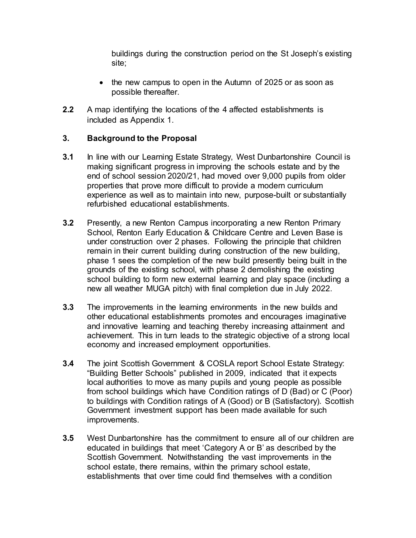buildings during the construction period on the St Joseph's existing site;

- the new campus to open in the Autumn of 2025 or as soon as possible thereafter.
- **2.2** A map identifying the locations of the 4 affected establishments is included as Appendix 1.

# **3. Background to the Proposal**

- **3.1** In line with our Learning Estate Strategy, West Dunbartonshire Council is making significant progress in improving the schools estate and by the end of school session 2020/21, had moved over 9,000 pupils from older properties that prove more difficult to provide a modern curriculum experience as well as to maintain into new, purpose-built or substantially refurbished educational establishments.
- **3.2** Presently, a new Renton Campus incorporating a new Renton Primary School, Renton Early Education & Childcare Centre and Leven Base is under construction over 2 phases. Following the principle that children remain in their current building during construction of the new building, phase 1 sees the completion of the new build presently being built in the grounds of the existing school, with phase 2 demolishing the existing school building to form new external learning and play space (including a new all weather MUGA pitch) with final completion due in July 2022.
- **3.3** The improvements in the learning environments in the new builds and other educational establishments promotes and encourages imaginative and innovative learning and teaching thereby increasing attainment and achievement. This in turn leads to the strategic objective of a strong local economy and increased employment opportunities.
- **3.4** The joint Scottish Government & COSLA report School Estate Strategy: "Building Better Schools" published in 2009, indicated that it expects local authorities to move as many pupils and young people as possible from school buildings which have Condition ratings of D (Bad) or C (Poor) to buildings with Condition ratings of A (Good) or B (Satisfactory). Scottish Government investment support has been made available for such improvements.
- **3.5** West Dunbartonshire has the commitment to ensure all of our children are educated in buildings that meet 'Category A or B' as described by the Scottish Government. Notwithstanding the vast improvements in the school estate, there remains, within the primary school estate, establishments that over time could find themselves with a condition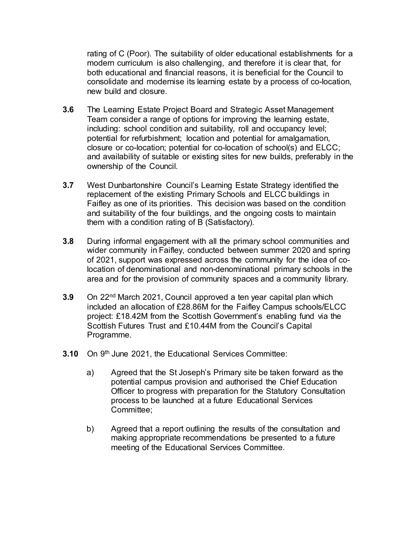rating of C (Poor). The suitability of older educational establishments for a modern curriculum is also challenging, and therefore it is clear that, for both educational and financial reasons, it is beneficial for the Council to consolidate and modernise its learning estate by a process of co-location, new build and closure.

- **3.6** The Learning Estate Project Board and Strategic Asset Management Team consider a range of options for improving the learning estate, including: school condition and suitability, roll and occupancy level; potential for refurbishment; location and potential for amalgamation, closure or co-location; potential for co-location of school(s) and ELCC; and availability of suitable or existing sites for new builds, preferably in the ownership of the Council.
- **3.7** West Dunbartonshire Council's Learning Estate Strategy identified the replacement of the existing Primary Schools and ELCC buildings in Faifley as one of its priorities. This decision was based on the condition and suitability of the four buildings, and the ongoing costs to maintain them with a condition rating of B (Satisfactory).
- **3.8** During informal engagement with all the primary school communities and wider community in Faifley, conducted between summer 2020 and spring of 2021, support was expressed across the community for the idea of colocation of denominational and non-denominational primary schools in the area and for the provision of community spaces and a community library.
- **3.9** On 22nd March 2021, Council approved a ten year capital plan which included an allocation of £28.86M for the Faifley Campus schools/ELCC project: £18.42M from the Scottish Government's enabling fund via the Scottish Futures Trust and £10.44M from the Council's Capital Programme.
- **3.10** On 9<sup>th</sup> June 2021, the Educational Services Committee:
	- a) Agreed that the St Joseph's Primary site be taken forward as the potential campus provision and authorised the Chief Education Officer to progress with preparation for the Statutory Consultation process to be launched at a future Educational Services Committee;
	- b) Agreed that a report outlining the results of the consultation and making appropriate recommendations be presented to a future meeting of the Educational Services Committee.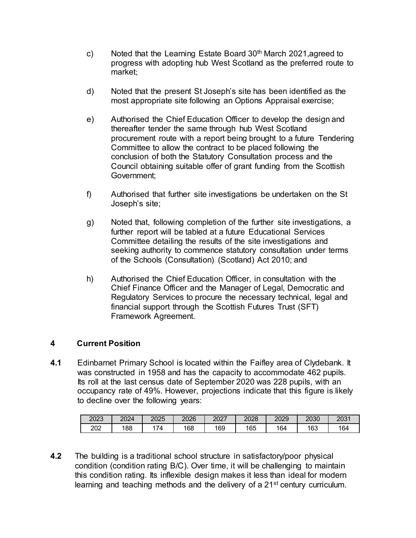- c) Noted that the Learning Estate Board  $30<sup>th</sup>$  March 2021, agreed to progress with adopting hub West Scotland as the preferred route to market;
- d) Noted that the present St Joseph's site has been identified as the most appropriate site following an Options Appraisal exercise;
- e) Authorised the Chief Education Officer to develop the design and thereafter tender the same through hub West Scotland procurement route with a report being brought to a future Tendering Committee to allow the contract to be placed following the conclusion of both the Statutory Consultation process and the Council obtaining suitable offer of grant funding from the Scottish Government;
- f) Authorised that further site investigations be undertaken on the St Joseph's site;
- g) Noted that, following completion of the further site investigations, a further report will be tabled at a future Educational Services Committee detailing the results of the site investigations and seeking authority to commence statutory consultation under terms of the Schools (Consultation) (Scotland) Act 2010; and
- h) Authorised the Chief Education Officer, in consultation with the Chief Finance Officer and the Manager of Legal, Democratic and Regulatory Services to procure the necessary technical, legal and financial support through the Scottish Futures Trust (SFT) Framework Agreement.

#### **4 Current Position**

**4.1** Edinbarnet Primary School is located within the Faifley area of Clydebank. It was constructed in 1958 and has the capacity to accommodate 462 pupils. Its roll at the last census date of September 2020 was 228 pupils, with an occupancy rate of 49%. However, projections indicate that this figure is likely to decline over the following years:

| 2023 | 2024 | 2025 | 2026 | דממפ<br>2027 | 2028 | 2029 | 2030 | 2031 |
|------|------|------|------|--------------|------|------|------|------|
| 202  | 188  | 74   | 168  | 169          | 165  | 164  | 163  | 164  |

**4.2** The building is a traditional school structure in satisfactory/poor physical condition (condition rating B/C). Over time, it will be challenging to maintain this condition rating. Its inflexible design makes it less than ideal for modern learning and teaching methods and the delivery of a 21<sup>st</sup> century curriculum.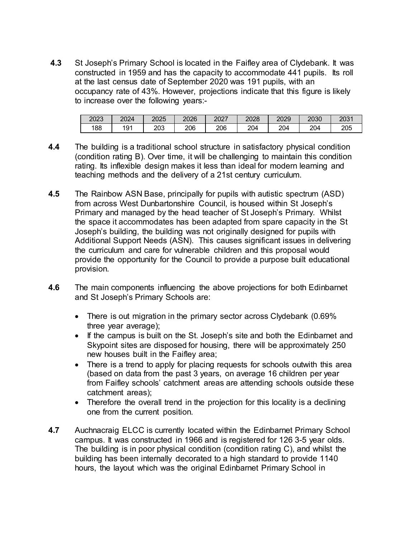**4.3** St Joseph's Primary School is located in the Faifley area of Clydebank. It was constructed in 1959 and has the capacity to accommodate 441 pupils. Its roll at the last census date of September 2020 was 191 pupils, with an occupancy rate of 43%. However, projections indicate that this figure is likely to increase over the following years:-

| 2023 | 2024      | 2025 | 2026 | 2027 | 2028 | 2029 | 2030 | ⊿ר∩ר<br>ZUJ 1 |
|------|-----------|------|------|------|------|------|------|---------------|
| 188  | 404<br>'৬ | 203  | 206  | 206  | 204  | 204  | 204  | 205           |

- **4.4** The building is a traditional school structure in satisfactory physical condition (condition rating B). Over time, it will be challenging to maintain this condition rating. Its inflexible design makes it less than ideal for modern learning and teaching methods and the delivery of a 21st century curriculum.
- **4.5** The Rainbow ASN Base, principally for pupils with autistic spectrum (ASD) from across West Dunbartonshire Council, is housed within St Joseph's Primary and managed by the head teacher of St Joseph's Primary. Whilst the space it accommodates has been adapted from spare capacity in the St Joseph's building, the building was not originally designed for pupils with Additional Support Needs (ASN). This causes significant issues in delivering the curriculum and care for vulnerable children and this proposal would provide the opportunity for the Council to provide a purpose built educational provision.
- **4.6** The main components influencing the above projections for both Edinbarnet and St Joseph's Primary Schools are:
	- There is out migration in the primary sector across Clydebank (0.69%) three year average);
	- If the campus is built on the St. Joseph's site and both the Edinbarnet and Skypoint sites are disposed for housing, there will be approximately 250 new houses built in the Faifley area;
	- There is a trend to apply for placing requests for schools outwith this area (based on data from the past 3 years, on average 16 children per year from Faifley schools' catchment areas are attending schools outside these catchment areas);
	- Therefore the overall trend in the projection for this locality is a declining one from the current position.
- **4.7** Auchnacraig ELCC is currently located within the Edinbarnet Primary School campus. It was constructed in 1966 and is registered for 126 3-5 year olds. The building is in poor physical condition (condition rating C), and whilst the building has been internally decorated to a high standard to provide 1140 hours, the layout which was the original Edinbarnet Primary School in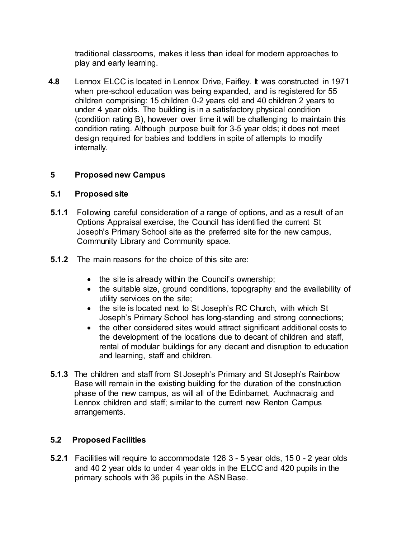traditional classrooms, makes it less than ideal for modern approaches to play and early learning.

**4.8** Lennox ELCC is located in Lennox Drive, Faifley. It was constructed in 1971 when pre-school education was being expanded, and is registered for 55 children comprising: 15 children 0-2 years old and 40 children 2 years to under 4 year olds. The building is in a satisfactory physical condition (condition rating B), however over time it will be challenging to maintain this condition rating. Although purpose built for 3-5 year olds; it does not meet design required for babies and toddlers in spite of attempts to modify internally.

# **5 Proposed new Campus**

#### **5.1 Proposed site**

- **5.1.1** Following careful consideration of a range of options, and as a result of an Options Appraisal exercise, the Council has identified the current St Joseph's Primary School site as the preferred site for the new campus, Community Library and Community space.
- **5.1.2** The main reasons for the choice of this site are:
	- the site is already within the Council's ownership;
	- the suitable size, ground conditions, topography and the availability of utility services on the site;
	- the site is located next to St Joseph's RC Church, with which St Joseph's Primary School has long-standing and strong connections;
	- the other considered sites would attract significant additional costs to the development of the locations due to decant of children and staff, rental of modular buildings for any decant and disruption to education and learning, staff and children.
- **5.1.3** The children and staff from St Joseph's Primary and St Joseph's Rainbow Base will remain in the existing building for the duration of the construction phase of the new campus, as will all of the Edinbarnet, Auchnacraig and Lennox children and staff; similar to the current new Renton Campus arrangements.

# **5.2 Proposed Facilities**

**5.2.1** Facilities will require to accommodate 126 3 - 5 year olds, 15 0 - 2 year olds and 40 2 year olds to under 4 year olds in the ELCC and 420 pupils in the primary schools with 36 pupils in the ASN Base.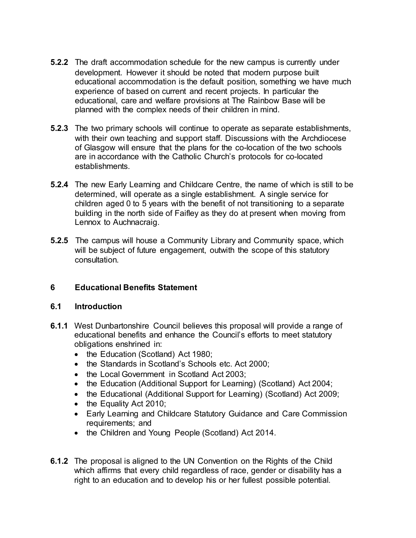- **5.2.2** The draft accommodation schedule for the new campus is currently under development. However it should be noted that modern purpose built educational accommodation is the default position, something we have much experience of based on current and recent projects. In particular the educational, care and welfare provisions at The Rainbow Base will be planned with the complex needs of their children in mind.
- **5.2.3** The two primary schools will continue to operate as separate establishments, with their own teaching and support staff. Discussions with the Archdiocese of Glasgow will ensure that the plans for the co-location of the two schools are in accordance with the Catholic Church's protocols for co-located establishments.
- **5.2.4** The new Early Learning and Childcare Centre, the name of which is still to be determined, will operate as a single establishment. A single service for children aged 0 to 5 years with the benefit of not transitioning to a separate building in the north side of Faifley as they do at present when moving from Lennox to Auchnacraig.
- **5.2.5** The campus will house a Community Library and Community space, which will be subject of future engagement, outwith the scope of this statutory consultation.

#### **6 Educational Benefits Statement**

#### **6.1 Introduction**

- **6.1.1** West Dunbartonshire Council believes this proposal will provide a range of educational benefits and enhance the Council's efforts to meet statutory obligations enshrined in:
	- the Education (Scotland) Act 1980;
	- the Standards in Scotland's Schools etc. Act 2000;
	- the Local Government in Scotland Act 2003:
	- the Education (Additional Support for Learning) (Scotland) Act 2004;
	- the Educational (Additional Support for Learning) (Scotland) Act 2009;
	- the Equality Act 2010;
	- Early Learning and Childcare Statutory Guidance and Care Commission requirements; and
	- the Children and Young People (Scotland) Act 2014.
- **6.1.2** The proposal is aligned to the UN Convention on the Rights of the Child which affirms that every child regardless of race, gender or disability has a right to an education and to develop his or her fullest possible potential.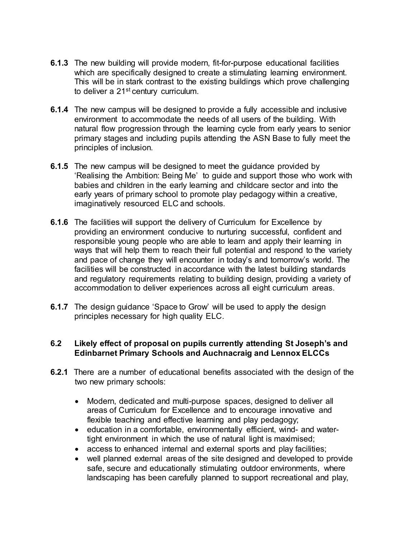- **6.1.3** The new building will provide modern, fit-for-purpose educational facilities which are specifically designed to create a stimulating learning environment. This will be in stark contrast to the existing buildings which prove challenging to deliver a 21<sup>st</sup> century curriculum.
- **6.1.4** The new campus will be designed to provide a fully accessible and inclusive environment to accommodate the needs of all users of the building. With natural flow progression through the learning cycle from early years to senior primary stages and including pupils attending the ASN Base to fully meet the principles of inclusion.
- **6.1.5** The new campus will be designed to meet the guidance provided by 'Realising the Ambition: Being Me' to guide and support those who work with babies and children in the early learning and childcare sector and into the early years of primary school to promote play pedagogy within a creative, imaginatively resourced ELC and schools.
- **6.1.6** The facilities will support the delivery of Curriculum for Excellence by providing an environment conducive to nurturing successful, confident and responsible young people who are able to learn and apply their learning in ways that will help them to reach their full potential and respond to the variety and pace of change they will encounter in today's and tomorrow's world. The facilities will be constructed in accordance with the latest building standards and regulatory requirements relating to building design, providing a variety of accommodation to deliver experiences across all eight curriculum areas.
- **6.1.7** The design guidance 'Space to Grow' will be used to apply the design principles necessary for high quality ELC.

#### **6.2 Likely effect of proposal on pupils currently attending St Joseph's and Edinbarnet Primary Schools and Auchnacraig and Lennox ELCCs**

- **6.2.1** There are a number of educational benefits associated with the design of the two new primary schools:
	- Modern, dedicated and multi-purpose spaces, designed to deliver all areas of Curriculum for Excellence and to encourage innovative and flexible teaching and effective learning and play pedagogy;
	- education in a comfortable, environmentally efficient, wind- and watertight environment in which the use of natural light is maximised;
	- access to enhanced internal and external sports and play facilities;
	- well planned external areas of the site designed and developed to provide safe, secure and educationally stimulating outdoor environments, where landscaping has been carefully planned to support recreational and play,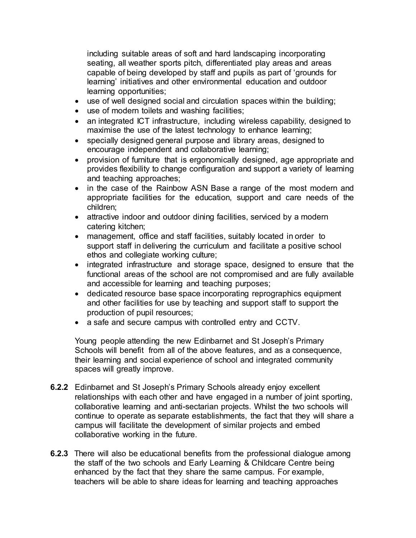including suitable areas of soft and hard landscaping incorporating seating, all weather sports pitch, differentiated play areas and areas capable of being developed by staff and pupils as part of 'grounds for learning' initiatives and other environmental education and outdoor learning opportunities;

- use of well designed social and circulation spaces within the building;
- use of modern toilets and washing facilities;
- an integrated ICT infrastructure, including wireless capability, designed to maximise the use of the latest technology to enhance learning;
- specially designed general purpose and library areas, designed to encourage independent and collaborative learning;
- provision of furniture that is ergonomically designed, age appropriate and provides flexibility to change configuration and support a variety of learning and teaching approaches;
- in the case of the Rainbow ASN Base a range of the most modern and appropriate facilities for the education, support and care needs of the children;
- attractive indoor and outdoor dining facilities, serviced by a modern catering kitchen;
- management, office and staff facilities, suitably located in order to support staff in delivering the curriculum and facilitate a positive school ethos and collegiate working culture;
- integrated infrastructure and storage space, designed to ensure that the functional areas of the school are not compromised and are fully available and accessible for learning and teaching purposes;
- dedicated resource base space incorporating reprographics equipment and other facilities for use by teaching and support staff to support the production of pupil resources;
- a safe and secure campus with controlled entry and CCTV.

Young people attending the new Edinbarnet and St Joseph's Primary Schools will benefit from all of the above features, and as a consequence, their learning and social experience of school and integrated community spaces will greatly improve.

- **6.2.2** Edinbarnet and St Joseph's Primary Schools already enjoy excellent relationships with each other and have engaged in a number of joint sporting, collaborative learning and anti-sectarian projects. Whilst the two schools will continue to operate as separate establishments, the fact that they will share a campus will facilitate the development of similar projects and embed collaborative working in the future.
- **6.2.3** There will also be educational benefits from the professional dialogue among the staff of the two schools and Early Learning & Childcare Centre being enhanced by the fact that they share the same campus. For example, teachers will be able to share ideas for learning and teaching approaches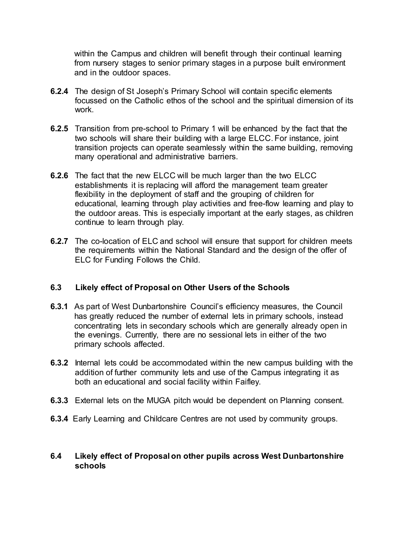within the Campus and children will benefit through their continual learning from nursery stages to senior primary stages in a purpose built environment and in the outdoor spaces.

- **6.2.4** The design of St Joseph's Primary School will contain specific elements focussed on the Catholic ethos of the school and the spiritual dimension of its work.
- **6.2.5** Transition from pre-school to Primary 1 will be enhanced by the fact that the two schools will share their building with a large ELCC. For instance, joint transition projects can operate seamlessly within the same building, removing many operational and administrative barriers.
- **6.2.6** The fact that the new ELCC will be much larger than the two ELCC establishments it is replacing will afford the management team greater flexibility in the deployment of staff and the grouping of children for educational, learning through play activities and free-flow learning and play to the outdoor areas. This is especially important at the early stages, as children continue to learn through play.
- **6.2.7** The co-location of ELC and school will ensure that support for children meets the requirements within the National Standard and the design of the offer of ELC for Funding Follows the Child.

#### **6.3 Likely effect of Proposal on Other Users of the Schools**

- **6.3.1** As part of West Dunbartonshire Council's efficiency measures, the Council has greatly reduced the number of external lets in primary schools, instead concentrating lets in secondary schools which are generally already open in the evenings. Currently, there are no sessional lets in either of the two primary schools affected.
- **6.3.2** Internal lets could be accommodated within the new campus building with the addition of further community lets and use of the Campus integrating it as both an educational and social facility within Faifley.
- **6.3.3** External lets on the MUGA pitch would be dependent on Planning consent.
- **6.3.4** Early Learning and Childcare Centres are not used by community groups.

## **6.4 Likely effect of Proposal on other pupils across West Dunbartonshire schools**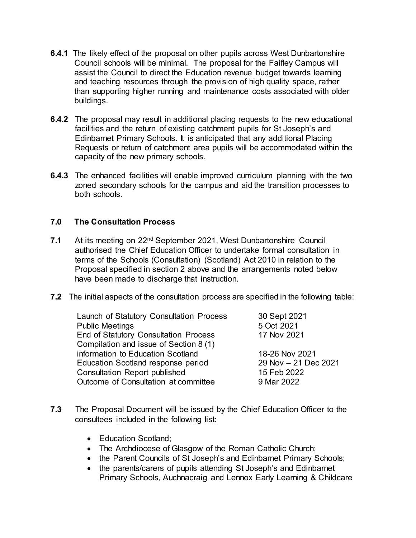- **6.4.1** The likely effect of the proposal on other pupils across West Dunbartonshire Council schools will be minimal. The proposal for the Faifley Campus will assist the Council to direct the Education revenue budget towards learning and teaching resources through the provision of high quality space, rather than supporting higher running and maintenance costs associated with older buildings.
- **6.4.2** The proposal may result in additional placing requests to the new educational facilities and the return of existing catchment pupils for St Joseph's and Edinbarnet Primary Schools. It is anticipated that any additional Placing Requests or return of catchment area pupils will be accommodated within the capacity of the new primary schools.
- **6.4.3** The enhanced facilities will enable improved curriculum planning with the two zoned secondary schools for the campus and aid the transition processes to both schools.

#### **7.0 The Consultation Process**

- **7.1** At its meeting on 22nd September 2021, West Dunbartonshire Council authorised the Chief Education Officer to undertake formal consultation in terms of the Schools (Consultation) (Scotland) Act 2010 in relation to the Proposal specified in section 2 above and the arrangements noted below have been made to discharge that instruction.
- **7.2** The initial aspects of the consultation process are specified in the following table:

| Launch of Statutory Consultation Process     | 30 Sept 2021         |
|----------------------------------------------|----------------------|
| <b>Public Meetings</b>                       | 5 Oct 2021           |
| <b>End of Statutory Consultation Process</b> | 17 Nov 2021          |
| Compilation and issue of Section 8 (1)       |                      |
| information to Education Scotland            | 18-26 Nov 2021       |
| Education Scotland response period           | 29 Nov - 21 Dec 2021 |
| <b>Consultation Report published</b>         | 15 Feb 2022          |
| Outcome of Consultation at committee         | 9 Mar 2022           |
|                                              |                      |

- **7.3** The Proposal Document will be issued by the Chief Education Officer to the consultees included in the following list:
	- Education Scotland:
	- The Archdiocese of Glasgow of the Roman Catholic Church;
	- the Parent Councils of St Joseph's and Edinbarnet Primary Schools;
	- the parents/carers of pupils attending St Joseph's and Edinbarnet Primary Schools, Auchnacraig and Lennox Early Learning & Childcare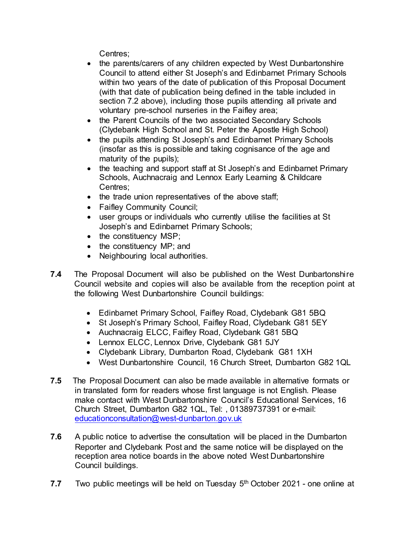Centres;

- the parents/carers of any children expected by West Dunbartonshire Council to attend either St Joseph's and Edinbarnet Primary Schools within two years of the date of publication of this Proposal Document (with that date of publication being defined in the table included in section 7.2 above), including those pupils attending all private and voluntary pre-school nurseries in the Faifley area;
- the Parent Councils of the two associated Secondary Schools (Clydebank High School and St. Peter the Apostle High School)
- the pupils attending St Joseph's and Edinbarnet Primary Schools (insofar as this is possible and taking cognisance of the age and maturity of the pupils);
- the teaching and support staff at St Joseph's and Edinbarnet Primary Schools, Auchnacraig and Lennox Early Learning & Childcare Centres;
- the trade union representatives of the above staff;
- Faifley Community Council;
- user groups or individuals who currently utilise the facilities at St Joseph's and Edinbarnet Primary Schools;
- the constituency MSP;
- the constituency MP; and
- Neighbouring local authorities.
- **7.4** The Proposal Document will also be published on the West Dunbartonshire Council website and copies will also be available from the reception point at the following West Dunbartonshire Council buildings:
	- Edinbarnet Primary School, Faifley Road, Clydebank G81 5BQ
	- St Joseph's Primary School, Faifley Road, Clydebank G81 5EY
	- Auchnacraig ELCC, Faifley Road, Clydebank G81 5BQ
	- Lennox ELCC, Lennox Drive, Clydebank G81 5JY
	- Clydebank Library, Dumbarton Road, Clydebank G81 1XH
	- West Dunbartonshire Council, 16 Church Street, Dumbarton G82 1QL
- **7.5** The Proposal Document can also be made available in alternative formats or in translated form for readers whose first language is not English. Please make contact with West Dunbartonshire Council's Educational Services, 16 Church Street, Dumbarton G82 1QL, Tel: , 01389737391 or e-mail: [educationconsultation@west-dunbarton.gov.uk](mailto:educationconsultation@west-dunbarton.gov.uk)
- **7.6** A public notice to advertise the consultation will be placed in the Dumbarton Reporter and Clydebank Post and the same notice will be displayed on the reception area notice boards in the above noted West Dunbartonshire Council buildings.
- **7.7** Two public meetings will be held on Tuesday 5<sup>th</sup> October 2021 one online at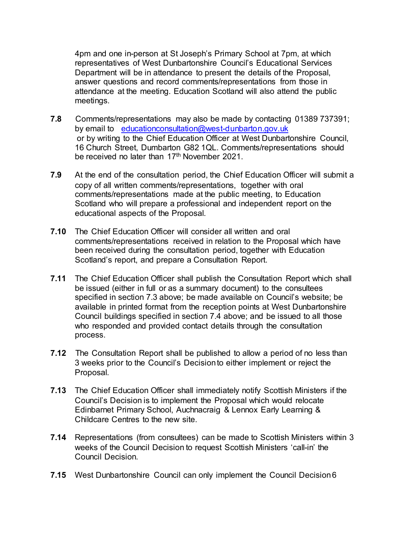4pm and one in-person at St Joseph's Primary School at 7pm, at which representatives of West Dunbartonshire Council's Educational Services Department will be in attendance to present the details of the Proposal, answer questions and record comments/representations from those in attendance at the meeting. Education Scotland will also attend the public meetings.

- **7.8** Comments/representations may also be made by contacting 01389 737391; by email to [educationconsultation@west-dunbarton.gov.uk](mailto:educationconsultation@west-dunbarton.gov.uk) or by writing to the Chief Education Officer at West Dunbartonshire Council, 16 Church Street, Dumbarton G82 1QL. Comments/representations should be received no later than 17<sup>th</sup> November 2021.
- **7.9** At the end of the consultation period, the Chief Education Officer will submit a copy of all written comments/representations, together with oral comments/representations made at the public meeting, to Education Scotland who will prepare a professional and independent report on the educational aspects of the Proposal.
- **7.10** The Chief Education Officer will consider all written and oral comments/representations received in relation to the Proposal which have been received during the consultation period, together with Education Scotland's report, and prepare a Consultation Report.
- **7.11** The Chief Education Officer shall publish the Consultation Report which shall be issued (either in full or as a summary document) to the consultees specified in section 7.3 above; be made available on Council's website; be available in printed format from the reception points at West Dunbartonshire Council buildings specified in section 7.4 above; and be issued to all those who responded and provided contact details through the consultation process.
- **7.12** The Consultation Report shall be published to allow a period of no less than 3 weeks prior to the Council's Decision to either implement or reject the Proposal.
- **7.13** The Chief Education Officer shall immediately notify Scottish Ministers if the Council's Decision is to implement the Proposal which would relocate Edinbarnet Primary School, Auchnacraig & Lennox Early Learning & Childcare Centres to the new site.
- **7.14** Representations (from consultees) can be made to Scottish Ministers within 3 weeks of the Council Decision to request Scottish Ministers 'call-in' the Council Decision.
- **7.15** West Dunbartonshire Council can only implement the Council Decision 6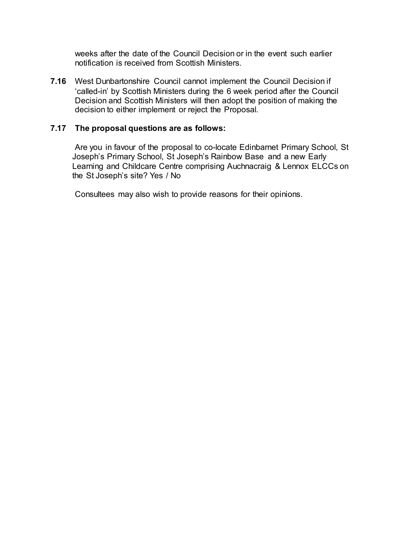weeks after the date of the Council Decision or in the event such earlier notification is received from Scottish Ministers.

**7.16** West Dunbartonshire Council cannot implement the Council Decision if 'called-in' by Scottish Ministers during the 6 week period after the Council Decision and Scottish Ministers will then adopt the position of making the decision to either implement or reject the Proposal.

## **7.17 The proposal questions are as follows:**

Are you in favour of the proposal to co-locate Edinbarnet Primary School, St Joseph's Primary School, St Joseph's Rainbow Base and a new Early Learning and Childcare Centre comprising Auchnacraig & Lennox ELCCs on the St Joseph's site? Yes / No

Consultees may also wish to provide reasons for their opinions.